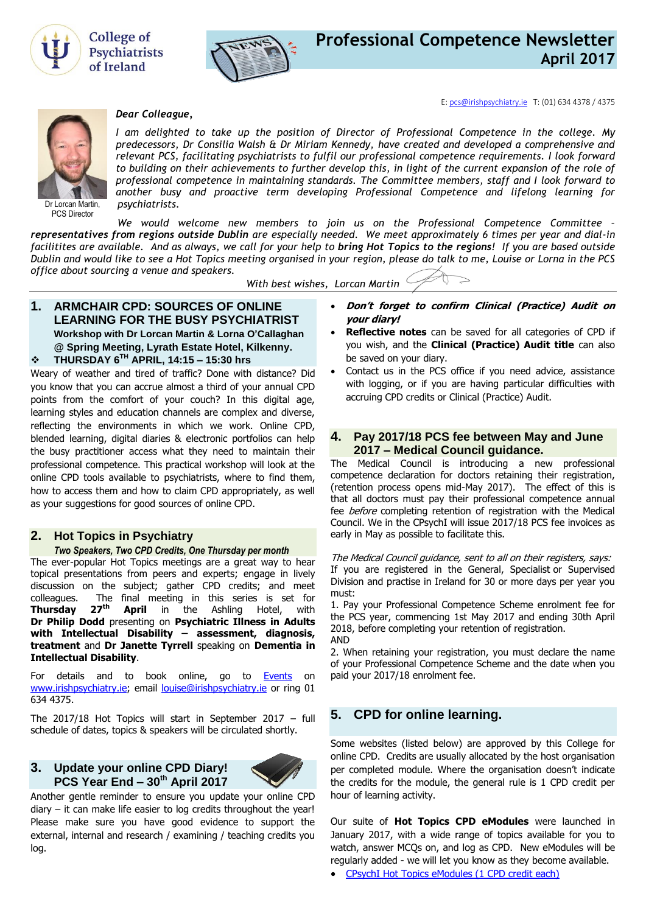



E[: pcs@irishpsychiatry.ie](mailto:pcs@irishpsychiatry.ie) T: (01) 634 4378 / 4375



PCS Director

#### *Dear Colleague,*

*I am delighted to take up the position of Director of Professional Competence in the college. My predecessors, Dr Consilia Walsh & Dr Miriam Kennedy, have created and developed a comprehensive and relevant PCS, facilitating psychiatrists to fulfil our professional competence requirements. I look forward to building on their achievements to further develop this, in light of the current expansion of the role of professional competence in maintaining standards. The Committee members, staff and I look forward to another busy and proactive term developing Professional Competence and lifelong learning for psychiatrists.*

*We would welcome new members to join us on the Professional Competence Committee – representatives from regions outside Dublin are especially needed. We meet approximately 6 times per year and dial-in facilitites are available. And as always, we call for your help to bring Hot Topics to the regions! If you are based outside Dublin and would like to see a Hot Topics meeting organised in your region, please do talk to me, Louise or Lorna in the PCS office about sourcing a venue and speakers.* 

*With best wishes, Lorcan Martin* 

**1. ARMCHAIR CPD: SOURCES OF ONLINE LEARNING FOR THE BUSY PSYCHIATRIST Workshop with Dr Lorcan Martin & Lorna O'Callaghan @ Spring Meeting, Lyrath Estate Hotel, Kilkenny.**

## **THURSDAY 6 TH APRIL, 14:15 – 15:30 hrs**

Weary of weather and tired of traffic? Done with distance? Did you know that you can accrue almost a third of your annual CPD points from the comfort of your couch? In this digital age, learning styles and education channels are complex and diverse, reflecting the environments in which we work. Online CPD, blended learning, digital diaries & electronic portfolios can help the busy practitioner access what they need to maintain their professional competence. This practical workshop will look at the online CPD tools available to psychiatrists, where to find them, how to access them and how to claim CPD appropriately, as well as your suggestions for good sources of online CPD.

#### **2. Hot Topics in Psychiatry**

#### *Two Speakers, Two CPD Credits, One Thursday per month*

The ever-popular Hot Topics meetings are a great way to hear topical presentations from peers and experts; engage in lively discussion on the subject; gather CPD credits; and meet colleagues. The final meeting in this series is set for **Thursday 27th April** in the Ashling Hotel, with **Dr Philip Dodd** presenting on **Psychiatric Illness in Adults with Intellectual Disability – assessment, diagnosis, treatment** and **Dr Janette Tyrrell** speaking on **Dementia in Intellectual Disability**.

For details and to book online, go to **[Events](https://www.irishpsychiatry.ie/all-events/)** on [www.irishpsychiatry.ie;](http://www.irishpsychiatry.ie/) email [louise@irishpsychiatry.ie](mailto:louise@irishpsychiatry.ie) or ring 01 634 4375.

The 2017/18 Hot Topics will start in September 2017 – full schedule of dates, topics & speakers will be circulated shortly.

### **3. [Update your online CPD](http://collegeofpsychiatryireland.newsweaver.co.uk/newsletter/1bcdch2t8xl13d8mgyqtf4?a=1&p=33459695&t=18724804) Diary! [P](http://collegeofpsychiatryireland.newsweaver.co.uk/newsletter/1bcdch2t8xl13d8mgyqtf4?a=1&p=33459695&t=18724804)CS Year End – 30th April 2017**



Another gentle reminder to ensure you update your online CPD diary – it can make life easier to log credits throughout the year! Please make sure you have good evidence to support the external, internal and research / examining / teaching credits you log.

- **Don't forget to confirm Clinical (Practice) Audit on your diary!**
- **Reflective notes** can be saved for all categories of CPD if you wish, and the **Clinical (Practice) Audit title** can also be saved on your diary.
- Contact us in the PCS office if you need advice, assistance with logging, or if you are having particular difficulties with accruing CPD credits or Clinical (Practice) Audit.

## **4. [Pay 2017/18 PCS fee between May and June](http://collegeofpsychiatryireland.newsweaver.co.uk/newsletter/1bcdch2t8xl13d8mgyqtf4?a=1&p=33459695&t=18724804)  2017 – [Medical Council guidance.](http://collegeofpsychiatryireland.newsweaver.co.uk/newsletter/1bcdch2t8xl13d8mgyqtf4?a=1&p=33459695&t=18724804)**

The Medical Council is introducing a new professional competence declaration for doctors retaining their registration, (retention process opens mid-May 2017). The effect of this is that all doctors must pay their professional competence annual fee *before* completing retention of registration with the Medical Council. We in the CPsychI will issue 2017/18 PCS fee invoices as early in May as possible to facilitate this.

The Medical Council guidance, sent to all on their registers, says: If you are registered in the General, Specialist or Supervised Division and practise in Ireland for 30 or more days per year you must:

1. Pay your Professional Competence Scheme enrolment fee for the PCS year, commencing 1st May 2017 and ending 30th April 2018, before completing your retention of registration. AND

2. When retaining your registration, you must declare the name of your Professional Competence Scheme and the date when you paid your 2017/18 enrolment fee.

# **5. [CPD for online learning.](http://collegeofpsychiatryireland.newsweaver.co.uk/newsletter/1bcdch2t8xl13d8mgyqtf4?a=1&p=33459695&t=18724804)**

Some websites (listed below) are approved by this College for online CPD. Credits are usually allocated by the host organisation per completed module. Where the organisation doesn't indicate the credits for the module, the general rule is 1 CPD credit per hour of learning activity.

Our suite of **Hot Topics CPD eModules** were launched in January 2017, with a wide range of topics available for you to watch, answer MCQs on, and log as CPD. New eModules will be regularly added - we will let you know as they become available.

[CPsychI Hot Topics eModules \(1 CPD credit each\)](http://www.irishpsychiatry.ie/professional-competence/hot-topics-emodules-online-cpd/cpsychi-hot-topics-emodules/)